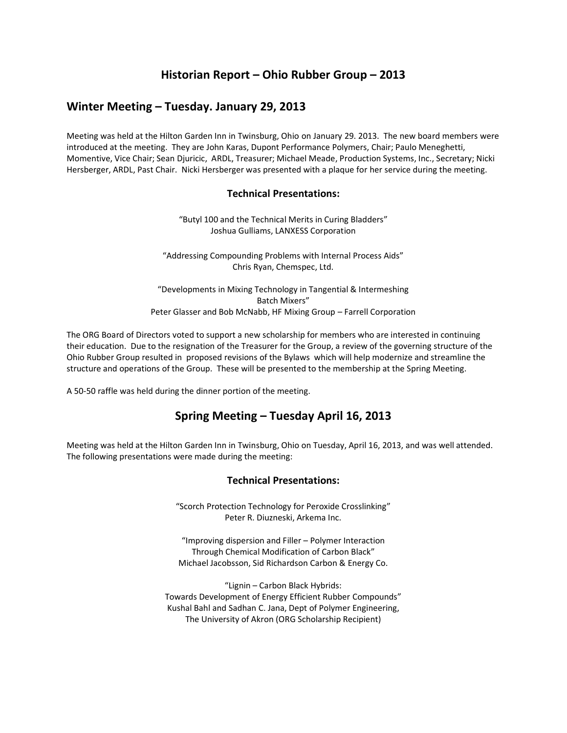# **Historian Report – Ohio Rubber Group – 2013**

### **Winter Meeting – Tuesday. January 29, 2013**

Meeting was held at the Hilton Garden Inn in Twinsburg, Ohio on January 29. 2013. The new board members were introduced at the meeting. They are John Karas, Dupont Performance Polymers, Chair; Paulo Meneghetti, Momentive, Vice Chair; Sean Djuricic, ARDL, Treasurer; Michael Meade, Production Systems, Inc., Secretary; Nicki Hersberger, ARDL, Past Chair. Nicki Hersberger was presented with a plaque for her service during the meeting.

#### **Technical Presentations:**

"Butyl 100 and the Technical Merits in Curing Bladders" Joshua Gulliams, LANXESS Corporation

"Addressing Compounding Problems with Internal Process Aids" Chris Ryan, Chemspec, Ltd.

"Developments in Mixing Technology in Tangential & Intermeshing Batch Mixers" Peter Glasser and Bob McNabb, HF Mixing Group – Farrell Corporation

The ORG Board of Directors voted to support a new scholarship for members who are interested in continuing their education. Due to the resignation of the Treasurer for the Group, a review of the governing structure of the Ohio Rubber Group resulted in proposed revisions of the Bylaws which will help modernize and streamline the structure and operations of the Group. These will be presented to the membership at the Spring Meeting.

A 50-50 raffle was held during the dinner portion of the meeting.

# **Spring Meeting – Tuesday April 16, 2013**

Meeting was held at the Hilton Garden Inn in Twinsburg, Ohio on Tuesday, April 16, 2013, and was well attended. The following presentations were made during the meeting:

#### **Technical Presentations:**

"Scorch Protection Technology for Peroxide Crosslinking" Peter R. Diuzneski, Arkema Inc.

"Improving dispersion and Filler – Polymer Interaction Through Chemical Modification of Carbon Black" Michael Jacobsson, Sid Richardson Carbon & Energy Co.

"Lignin – Carbon Black Hybrids: Towards Development of Energy Efficient Rubber Compounds" Kushal Bahl and Sadhan C. Jana, Dept of Polymer Engineering, The University of Akron (ORG Scholarship Recipient)